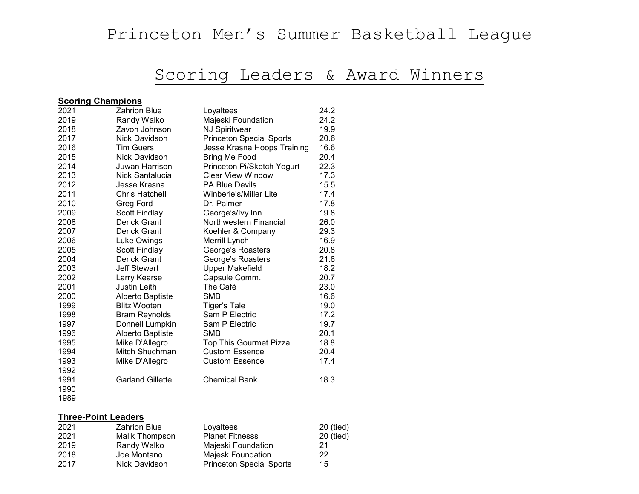# Scoring Leaders & Award Winners

#### **Scoring Champions**

| 2021 | Zahrion Blue            | Loyaltees                       | 24.2 |
|------|-------------------------|---------------------------------|------|
| 2019 | Randy Walko             | Majeski Foundation              | 24.2 |
| 2018 | Zavon Johnson           | <b>NJ Spiritwear</b>            | 19.9 |
| 2017 | Nick Davidson           | <b>Princeton Special Sports</b> | 20.6 |
| 2016 | <b>Tim Guers</b>        | Jesse Krasna Hoops Training     | 16.6 |
| 2015 | Nick Davidson           | Bring Me Food                   | 20.4 |
| 2014 | Juwan Harrison          | Princeton Pi/Sketch Yogurt      | 22.3 |
| 2013 | Nick Santalucia         | <b>Clear View Window</b>        | 17.3 |
| 2012 | Jesse Krasna            | <b>PA Blue Devils</b>           | 15.5 |
| 2011 | <b>Chris Hatchell</b>   | Winberie's/Miller Lite          | 17.4 |
| 2010 | Greg Ford               | Dr. Palmer                      | 17.8 |
| 2009 | <b>Scott Findlay</b>    | George's/Ivy Inn                | 19.8 |
| 2008 | <b>Derick Grant</b>     | Northwestern Financial          | 26.0 |
| 2007 | <b>Derick Grant</b>     | Koehler & Company               | 29.3 |
| 2006 | Luke Owings             | Merrill Lynch                   | 16.9 |
| 2005 | Scott Findlay           | George's Roasters               | 20.8 |
| 2004 | Derick Grant            | George's Roasters               | 21.6 |
| 2003 | <b>Jeff Stewart</b>     | <b>Upper Makefield</b>          | 18.2 |
| 2002 | Larry Kearse            | Capsule Comm.                   | 20.7 |
| 2001 | <b>Justin Leith</b>     | The Café                        | 23.0 |
| 2000 | Alberto Baptiste        | <b>SMB</b>                      | 16.6 |
| 1999 | <b>Blitz Wooten</b>     | Tiger's Tale                    | 19.0 |
| 1998 | <b>Bram Reynolds</b>    | Sam P Electric                  | 17.2 |
| 1997 | Donnell Lumpkin         | Sam P Electric                  | 19.7 |
| 1996 | Alberto Baptiste        | <b>SMB</b>                      | 20.1 |
| 1995 | Mike D'Allegro          | Top This Gourmet Pizza          | 18.8 |
| 1994 | Mitch Shuchman          | <b>Custom Essence</b>           | 20.4 |
| 1993 | Mike D'Allegro          | <b>Custom Essence</b>           | 17.4 |
| 1992 |                         |                                 |      |
| 1991 | <b>Garland Gillette</b> | <b>Chemical Bank</b>            | 18.3 |
| 1990 |                         |                                 |      |

### **Three-Point Leaders**

| 2021 | <b>Zahrion Blue</b> | Loyaltees                       | 20 (tied) |
|------|---------------------|---------------------------------|-----------|
| 2021 | Malik Thompson      | <b>Planet Fitnesss</b>          | 20 (tied) |
| 2019 | Randy Walko         | Majeski Foundation              | 21        |
| 2018 | Joe Montano         | Majesk Foundation               | 22        |
| 2017 | Nick Davidson       | <b>Princeton Special Sports</b> | 15        |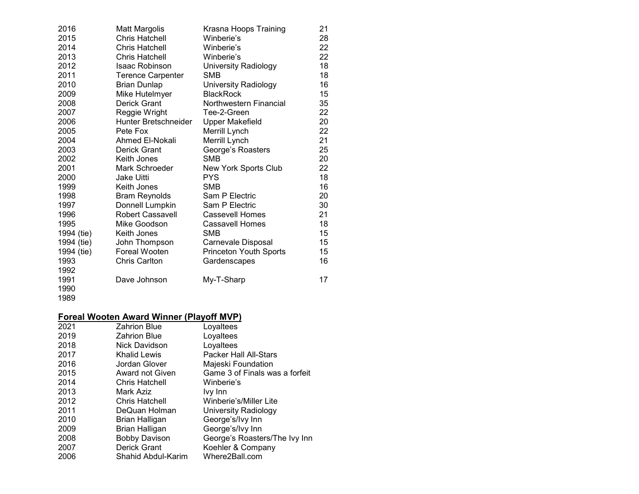| 2016       | <b>Matt Margolis</b>     | Krasna Hoops Training         | 21 |
|------------|--------------------------|-------------------------------|----|
| 2015       | <b>Chris Hatchell</b>    | Winberie's                    | 28 |
| 2014       | <b>Chris Hatchell</b>    | Winberie's                    | 22 |
| 2013       | Chris Hatchell           | Winberie's                    | 22 |
| 2012       | <b>Isaac Robinson</b>    | University Radiology          | 18 |
| 2011       | <b>Terence Carpenter</b> | SMB                           | 18 |
| 2010       | <b>Brian Dunlap</b>      | University Radiology          | 16 |
| 2009       | Mike Hutelmyer           | <b>BlackRock</b>              | 15 |
| 2008       | Derick Grant             | Northwestern Financial        | 35 |
| 2007       | Reggie Wright            | Tee-2-Green                   | 22 |
| 2006       | Hunter Bretschneider     | <b>Upper Makefield</b>        | 20 |
| 2005       | Pete Fox                 | Merrill Lynch                 | 22 |
| 2004       | Ahmed El-Nokali          | Merrill Lynch                 | 21 |
| 2003       | Derick Grant             | George's Roasters             | 25 |
| 2002       | Keith Jones              | <b>SMB</b>                    | 20 |
| 2001       | Mark Schroeder           | <b>New York Sports Club</b>   | 22 |
| 2000       | Jake Uitti               | <b>PYS</b>                    | 18 |
| 1999       | Keith Jones              | <b>SMB</b>                    | 16 |
| 1998       | <b>Bram Reynolds</b>     | Sam P Electric                | 20 |
| 1997       | Donnell Lumpkin          | Sam P Electric                | 30 |
| 1996       | <b>Robert Cassavell</b>  | Cassevell Homes               | 21 |
| 1995       | Mike Goodson             | <b>Cassavell Homes</b>        | 18 |
| 1994 (tie) | Keith Jones              | SMB                           | 15 |
| 1994 (tie) | John Thompson            | Carnevale Disposal            | 15 |
| 1994 (tie) | Foreal Wooten            | <b>Princeton Youth Sports</b> | 15 |
| 1993       | <b>Chris Carlton</b>     | Gardenscapes                  | 16 |
| 1992       |                          |                               |    |
| 1991       | Dave Johnson             | My-T-Sharp                    | 17 |
| 1990       |                          |                               |    |

#### **Foreal Wooten Award Winner (Playoff MVP)**

| 2021 | <b>Zahrion Blue</b>   | Loyaltees                      |
|------|-----------------------|--------------------------------|
| 2019 | Zahrion Blue          | Loyaltees                      |
| 2018 | Nick Davidson         | Loyaltees                      |
| 2017 | Khalid Lewis          | <b>Packer Hall All-Stars</b>   |
| 2016 | Jordan Glover         | Majeski Foundation             |
| 2015 | Award not Given       | Game 3 of Finals was a forfeit |
| 2014 | <b>Chris Hatchell</b> | Winberie's                     |
| 2013 | Mark Aziz             | Ivy Inn                        |
| 2012 | <b>Chris Hatchell</b> | Winberie's/Miller Lite         |
| 2011 | DeQuan Holman         | University Radiology           |
| 2010 | Brian Halligan        | George's/Ivy Inn               |
| 2009 | Brian Halligan        | George's/Ivy Inn               |
| 2008 | <b>Bobby Davison</b>  | George's Roasters/The Ivy Inn  |
| 2007 | <b>Derick Grant</b>   | Koehler & Company              |
| 2006 | Shahid Abdul-Karim    | Where2Ball.com                 |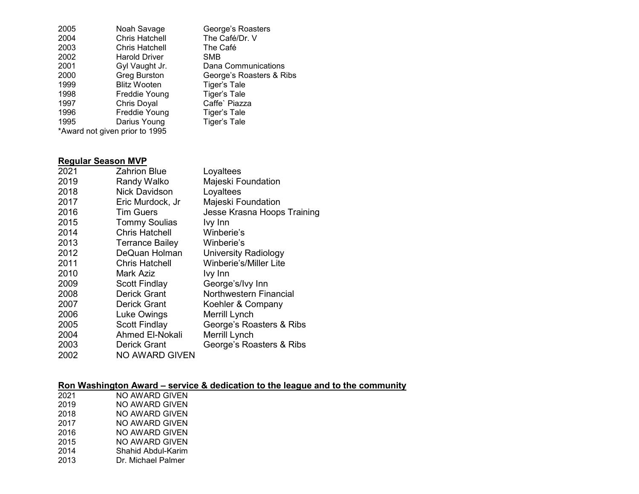| 2005 | Noah Savage                    | George's Roasters        |
|------|--------------------------------|--------------------------|
| 2004 | <b>Chris Hatchell</b>          | The Café/Dr. V           |
| 2003 | <b>Chris Hatchell</b>          | The Café                 |
| 2002 | <b>Harold Driver</b>           | <b>SMB</b>               |
| 2001 | Gyl Vaught Jr.                 | Dana Communications      |
| 2000 | <b>Greg Burston</b>            | George's Roasters & Ribs |
| 1999 | <b>Blitz Wooten</b>            | Tiger's Tale             |
| 1998 | Freddie Young                  | <b>Tiger's Tale</b>      |
| 1997 | Chris Doyal                    | Caffe' Piazza            |
| 1996 | Freddie Young                  | Tiger's Tale             |
| 1995 | Darius Young                   | <b>Tiger's Tale</b>      |
|      | *Award not given prior to 1995 |                          |
|      |                                |                          |

### **Regular Season MVP**

| 2021 | Zahrion Blue           | Loyaltees                     |
|------|------------------------|-------------------------------|
| 2019 | Randy Walko            | Majeski Foundation            |
| 2018 | <b>Nick Davidson</b>   | Loyaltees                     |
| 2017 | Eric Murdock, Jr       | Majeski Foundation            |
| 2016 | <b>Tim Guers</b>       | Jesse Krasna Hoops Training   |
| 2015 | <b>Tommy Soulias</b>   | Ivy Inn                       |
| 2014 | <b>Chris Hatchell</b>  | Winberie's                    |
| 2013 | <b>Terrance Bailey</b> | Winberie's                    |
| 2012 | DeQuan Holman          | University Radiology          |
| 2011 | <b>Chris Hatchell</b>  | <b>Winberie's/Miller Lite</b> |
| 2010 | Mark Aziz              | Ivy Inn                       |
| 2009 | <b>Scott Findlay</b>   | George's/Ivy Inn              |
| 2008 | <b>Derick Grant</b>    | Northwestern Financial        |
| 2007 | <b>Derick Grant</b>    | Koehler & Company             |
| 2006 | Luke Owings            | Merrill Lynch                 |
| 2005 | <b>Scott Findlay</b>   | George's Roasters & Ribs      |
| 2004 | <b>Ahmed El-Nokali</b> | Merrill Lynch                 |
| 2003 | <b>Derick Grant</b>    | George's Roasters & Ribs      |
| 2002 | <b>NO AWARD GIVEN</b>  |                               |

#### **Ron Washington Award – service & dedication to the league and to the community**

| 2021 | NO AWARD GIVEN     |
|------|--------------------|
| 2019 | NO AWARD GIVEN     |
| 2018 | NO AWARD GIVEN     |
| 2017 | NO AWARD GIVEN     |
| 2016 | NO AWARD GIVEN     |
| 2015 | NO AWARD GIVEN     |
| 2014 | Shahid Abdul-Karim |

Dr. Michael Palmer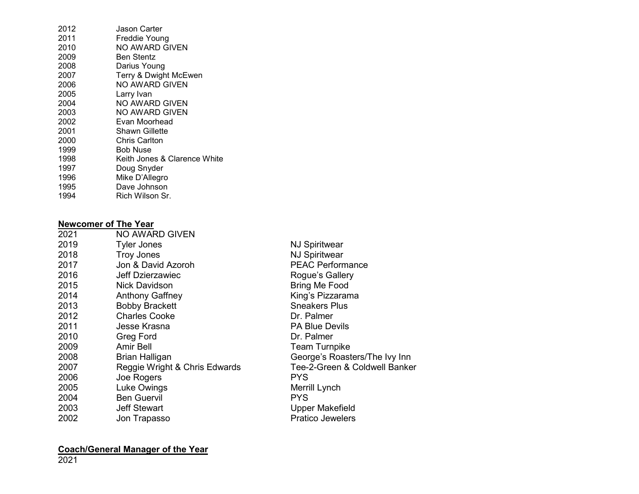| 2012 | Jason Carter                 |
|------|------------------------------|
| 2011 | Freddie Young                |
| 2010 | NO AWARD GIVEN               |
| 2009 | Ben Stentz                   |
| 2008 | Darius Young                 |
| 2007 | Terry & Dwight McEwen        |
| 2006 | NO AWARD GIVEN               |
| 2005 | Larry Ivan                   |
| 2004 | NO AWARD GIVEN               |
| 2003 | NO AWARD GIVEN               |
| 2002 | Evan Moorhead                |
| 2001 | Shawn Gillette               |
| 2000 | <b>Chris Carlton</b>         |
| 1999 | Bob Nuse                     |
| 1998 | Keith Jones & Clarence White |
| 1997 | Doug Snyder                  |
| 1996 | Mike D'Allegro               |
| 1995 | Dave Johnson                 |
| 1994 | Rich Wilson Sr.              |

## **Newcomer of The Year**

| 2021 | NO AWARD GIVEN                |                               |
|------|-------------------------------|-------------------------------|
| 2019 | <b>Tyler Jones</b>            | <b>NJ Spiritwear</b>          |
| 2018 | <b>Troy Jones</b>             | <b>NJ Spiritwear</b>          |
| 2017 | Jon & David Azoroh            | <b>PEAC Performance</b>       |
| 2016 | Jeff Dzierzawiec              | Rogue's Gallery               |
| 2015 | <b>Nick Davidson</b>          | Bring Me Food                 |
| 2014 | <b>Anthony Gaffney</b>        | King's Pizzarama              |
| 2013 | <b>Bobby Brackett</b>         | <b>Sneakers Plus</b>          |
| 2012 | <b>Charles Cooke</b>          | Dr. Palmer                    |
| 2011 | Jesse Krasna                  | <b>PA Blue Devils</b>         |
| 2010 | Greg Ford                     | Dr. Palmer                    |
| 2009 | Amir Bell                     | <b>Team Turnpike</b>          |
| 2008 | <b>Brian Halligan</b>         | George's Roasters/The Ivy Inn |
| 2007 | Reggie Wright & Chris Edwards | Tee-2-Green & Coldwell Banker |
| 2006 | Joe Rogers                    | PYS.                          |
| 2005 | Luke Owings                   | Merrill Lynch                 |
| 2004 | <b>Ben Guervil</b>            | <b>PYS</b>                    |
| 2003 | <b>Jeff Stewart</b>           | <b>Upper Makefield</b>        |
| 2002 | Jon Trapasso                  | <b>Pratico Jewelers</b>       |
|      |                               |                               |

#### **Coach/General Manager of the Year**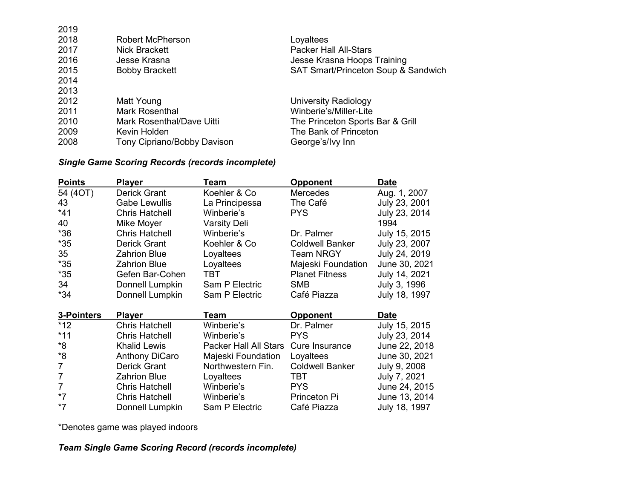| Robert McPherson            | Loyaltees                           |
|-----------------------------|-------------------------------------|
| <b>Nick Brackett</b>        | <b>Packer Hall All-Stars</b>        |
| Jesse Krasna                | Jesse Krasna Hoops Training         |
| <b>Bobby Brackett</b>       | SAT Smart/Princeton Soup & Sandwich |
|                             |                                     |
|                             |                                     |
| Matt Young                  | University Radiology                |
| <b>Mark Rosenthal</b>       | Winberie's/Miller-Lite              |
| Mark Rosenthal/Dave Uitti   | The Princeton Sports Bar & Grill    |
| Kevin Holden                | The Bank of Princeton               |
| Tony Cipriano/Bobby Davison | George's/Ivy Inn                    |
|                             |                                     |

#### *Single Game Scoring Records (records incomplete)*

| <b>Points</b>  | <b>Player</b>         | Team                         | <b>Opponent</b>        | Date          |
|----------------|-----------------------|------------------------------|------------------------|---------------|
| 54 (4OT)       | Derick Grant          | Koehler & Co                 | <b>Mercedes</b>        | Aug. 1, 2007  |
| 43             | <b>Gabe Lewullis</b>  | La Principessa               | The Café               | July 23, 2001 |
| $*41$          | <b>Chris Hatchell</b> | Winberie's                   | <b>PYS</b>             | July 23, 2014 |
| 40             | Mike Moyer            | <b>Varsity Deli</b>          |                        | 1994          |
| $*36$          | <b>Chris Hatchell</b> | Winberie's                   | Dr. Palmer             | July 15, 2015 |
| $*35$          | Derick Grant          | Koehler & Co                 | <b>Coldwell Banker</b> | July 23, 2007 |
| 35             | <b>Zahrion Blue</b>   | Loyaltees                    | <b>Team NRGY</b>       | July 24, 2019 |
| $*35$          | <b>Zahrion Blue</b>   | Loyaltees                    | Majeski Foundation     | June 30, 2021 |
| $*35$          | Gefen Bar-Cohen       | TBT                          | <b>Planet Fitness</b>  | July 14, 2021 |
| 34             | Donnell Lumpkin       | Sam P Electric               | <b>SMB</b>             | July 3, 1996  |
| *34            | Donnell Lumpkin       | Sam P Electric               | Café Piazza            | July 18, 1997 |
| 3-Pointers     | <b>Player</b>         | Team                         | <b>Opponent</b>        | <b>Date</b>   |
| $*12$          | <b>Chris Hatchell</b> | Winberie's                   | Dr. Palmer             | July 15, 2015 |
| $*11$          | <b>Chris Hatchell</b> | Winberie's                   | <b>PYS</b>             | July 23, 2014 |
| *8             | <b>Khalid Lewis</b>   | <b>Packer Hall All Stars</b> | Cure Insurance         | June 22, 2018 |
| *8             | <b>Anthony DiCaro</b> | Majeski Foundation           | Loyaltees              | June 30, 2021 |
| $\overline{7}$ | <b>Derick Grant</b>   | Northwestern Fin.            | <b>Coldwell Banker</b> | July 9, 2008  |
| $\overline{7}$ | <b>Zahrion Blue</b>   | Loyaltees                    | TBT                    | July 7, 2021  |
| $\overline{7}$ | <b>Chris Hatchell</b> | Winberie's                   | <b>PYS</b>             | June 24, 2015 |
| $*7$           | <b>Chris Hatchell</b> | Winberie's                   | Princeton Pi           | June 13, 2014 |
| $*7$           | Donnell Lumpkin       | Sam P Electric               | Café Piazza            | July 18, 1997 |

\*Denotes game was played indoors

## *Team Single Game Scoring Record (records incomplete)*